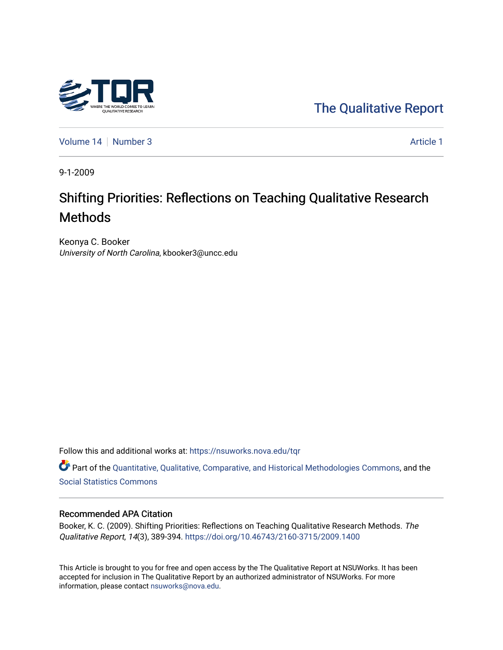

[Volume 14](https://nsuworks.nova.edu/tqr/vol14) [Number 3](https://nsuworks.nova.edu/tqr/vol14/iss3) Article 1

9-1-2009

# Shifting Priorities: Reflections on Teaching Qualitative Research Methods

Keonya C. Booker University of North Carolina, kbooker3@uncc.edu

Follow this and additional works at: [https://nsuworks.nova.edu/tqr](https://nsuworks.nova.edu/tqr?utm_source=nsuworks.nova.edu%2Ftqr%2Fvol14%2Fiss3%2F1&utm_medium=PDF&utm_campaign=PDFCoverPages) 

Part of the [Quantitative, Qualitative, Comparative, and Historical Methodologies Commons,](http://network.bepress.com/hgg/discipline/423?utm_source=nsuworks.nova.edu%2Ftqr%2Fvol14%2Fiss3%2F1&utm_medium=PDF&utm_campaign=PDFCoverPages) and the [Social Statistics Commons](http://network.bepress.com/hgg/discipline/1275?utm_source=nsuworks.nova.edu%2Ftqr%2Fvol14%2Fiss3%2F1&utm_medium=PDF&utm_campaign=PDFCoverPages) 

#### Recommended APA Citation

Booker, K. C. (2009). Shifting Priorities: Reflections on Teaching Qualitative Research Methods. The Qualitative Report, 14(3), 389-394.<https://doi.org/10.46743/2160-3715/2009.1400>

This Article is brought to you for free and open access by the The Qualitative Report at NSUWorks. It has been accepted for inclusion in The Qualitative Report by an authorized administrator of NSUWorks. For more information, please contact [nsuworks@nova.edu.](mailto:nsuworks@nova.edu)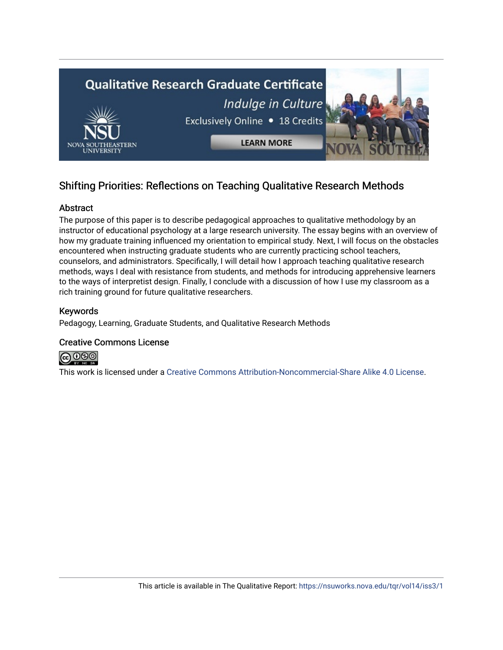

## Shifting Priorities: Reflections on Teaching Qualitative Research Methods

## Abstract

The purpose of this paper is to describe pedagogical approaches to qualitative methodology by an instructor of educational psychology at a large research university. The essay begins with an overview of how my graduate training influenced my orientation to empirical study. Next, I will focus on the obstacles encountered when instructing graduate students who are currently practicing school teachers, counselors, and administrators. Specifically, I will detail how I approach teaching qualitative research methods, ways I deal with resistance from students, and methods for introducing apprehensive learners to the ways of interpretist design. Finally, I conclude with a discussion of how I use my classroom as a rich training ground for future qualitative researchers.

## Keywords

Pedagogy, Learning, Graduate Students, and Qualitative Research Methods

## Creative Commons License



This work is licensed under a [Creative Commons Attribution-Noncommercial-Share Alike 4.0 License](https://creativecommons.org/licenses/by-nc-sa/4.0/).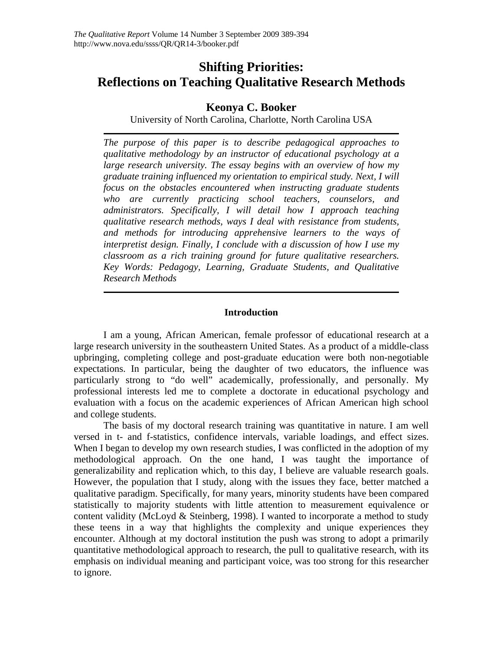## **Shifting Priorities: Reflections on Teaching Qualitative Research Methods**

## **Keonya C. Booker**

University of North Carolina, Charlotte, North Carolina USA

*The purpose of this paper is to describe pedagogical approaches to qualitative methodology by an instructor of educational psychology at a large research university. The essay begins with an overview of how my graduate training influenced my orientation to empirical study. Next, I will focus on the obstacles encountered when instructing graduate students who are currently practicing school teachers, counselors, and administrators. Specifically, I will detail how I approach teaching qualitative research methods, ways I deal with resistance from students, and methods for introducing apprehensive learners to the ways of interpretist design. Finally, I conclude with a discussion of how I use my classroom as a rich training ground for future qualitative researchers. Key Words: Pedagogy, Learning, Graduate Students, and Qualitative Research Methods* 

## **Introduction**

I am a young, African American, female professor of educational research at a large research university in the southeastern United States. As a product of a middle-class upbringing, completing college and post-graduate education were both non-negotiable expectations. In particular, being the daughter of two educators, the influence was particularly strong to "do well" academically, professionally, and personally. My professional interests led me to complete a doctorate in educational psychology and evaluation with a focus on the academic experiences of African American high school and college students.

The basis of my doctoral research training was quantitative in nature. I am well versed in t- and f-statistics, confidence intervals, variable loadings, and effect sizes. When I began to develop my own research studies, I was conflicted in the adoption of my methodological approach. On the one hand, I was taught the importance of generalizability and replication which, to this day, I believe are valuable research goals. However, the population that I study, along with the issues they face, better matched a qualitative paradigm. Specifically, for many years, minority students have been compared statistically to majority students with little attention to measurement equivalence or content validity (McLoyd & Steinberg, 1998). I wanted to incorporate a method to study these teens in a way that highlights the complexity and unique experiences they encounter. Although at my doctoral institution the push was strong to adopt a primarily quantitative methodological approach to research, the pull to qualitative research, with its emphasis on individual meaning and participant voice, was too strong for this researcher to ignore.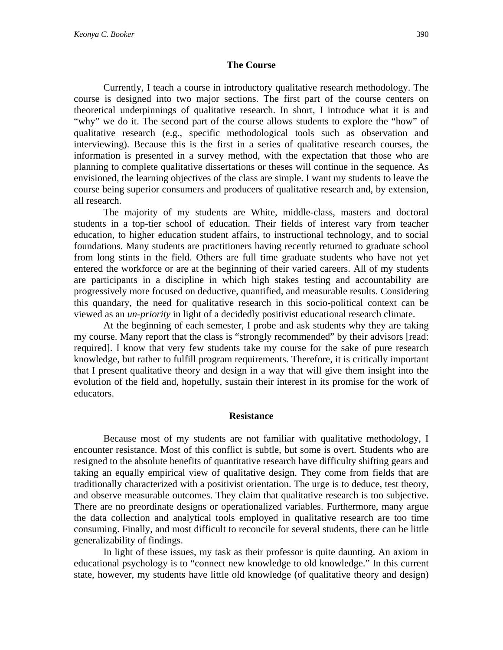#### **The Course**

Currently, I teach a course in introductory qualitative research methodology. The course is designed into two major sections. The first part of the course centers on theoretical underpinnings of qualitative research. In short, I introduce what it is and "why" we do it. The second part of the course allows students to explore the "how" of qualitative research (e.g., specific methodological tools such as observation and interviewing). Because this is the first in a series of qualitative research courses, the information is presented in a survey method, with the expectation that those who are planning to complete qualitative dissertations or theses will continue in the sequence. As envisioned, the learning objectives of the class are simple. I want my students to leave the course being superior consumers and producers of qualitative research and, by extension, all research.

The majority of my students are White, middle-class, masters and doctoral students in a top-tier school of education. Their fields of interest vary from teacher education, to higher education student affairs, to instructional technology, and to social foundations. Many students are practitioners having recently returned to graduate school from long stints in the field. Others are full time graduate students who have not yet entered the workforce or are at the beginning of their varied careers. All of my students are participants in a discipline in which high stakes testing and accountability are progressively more focused on deductive, quantified, and measurable results. Considering this quandary, the need for qualitative research in this socio-political context can be viewed as an *un-priority* in light of a decidedly positivist educational research climate.

At the beginning of each semester, I probe and ask students why they are taking my course. Many report that the class is "strongly recommended" by their advisors [read: required]. I know that very few students take my course for the sake of pure research knowledge, but rather to fulfill program requirements. Therefore, it is critically important that I present qualitative theory and design in a way that will give them insight into the evolution of the field and, hopefully, sustain their interest in its promise for the work of educators.

#### **Resistance**

Because most of my students are not familiar with qualitative methodology, I encounter resistance. Most of this conflict is subtle, but some is overt. Students who are resigned to the absolute benefits of quantitative research have difficulty shifting gears and taking an equally empirical view of qualitative design. They come from fields that are traditionally characterized with a positivist orientation. The urge is to deduce, test theory, and observe measurable outcomes. They claim that qualitative research is too subjective. There are no preordinate designs or operationalized variables. Furthermore, many argue the data collection and analytical tools employed in qualitative research are too time consuming. Finally, and most difficult to reconcile for several students, there can be little generalizability of findings.

In light of these issues, my task as their professor is quite daunting. An axiom in educational psychology is to "connect new knowledge to old knowledge." In this current state, however, my students have little old knowledge (of qualitative theory and design)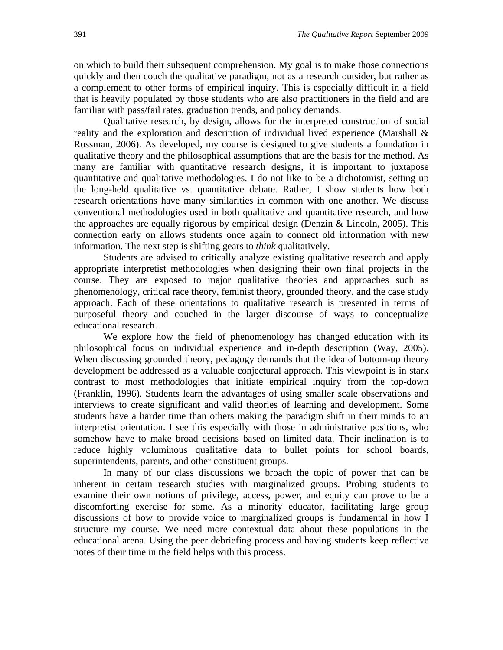on which to build their subsequent comprehension. My goal is to make those connections quickly and then couch the qualitative paradigm, not as a research outsider, but rather as a complement to other forms of empirical inquiry. This is especially difficult in a field that is heavily populated by those students who are also practitioners in the field and are familiar with pass/fail rates, graduation trends, and policy demands.

Qualitative research, by design, allows for the interpreted construction of social reality and the exploration and description of individual lived experience (Marshall & Rossman, 2006). As developed, my course is designed to give students a foundation in qualitative theory and the philosophical assumptions that are the basis for the method. As many are familiar with quantitative research designs, it is important to juxtapose quantitative and qualitative methodologies. I do not like to be a dichotomist, setting up the long-held qualitative vs. quantitative debate. Rather, I show students how both research orientations have many similarities in common with one another. We discuss conventional methodologies used in both qualitative and quantitative research, and how the approaches are equally rigorous by empirical design (Denzin & Lincoln, 2005). This connection early on allows students once again to connect old information with new information. The next step is shifting gears to *think* qualitatively.

Students are advised to critically analyze existing qualitative research and apply appropriate interpretist methodologies when designing their own final projects in the course. They are exposed to major qualitative theories and approaches such as phenomenology, critical race theory, feminist theory, grounded theory, and the case study approach. Each of these orientations to qualitative research is presented in terms of purposeful theory and couched in the larger discourse of ways to conceptualize educational research.

We explore how the field of phenomenology has changed education with its philosophical focus on individual experience and in-depth description (Way, 2005). When discussing grounded theory, pedagogy demands that the idea of bottom-up theory development be addressed as a valuable conjectural approach. This viewpoint is in stark contrast to most methodologies that initiate empirical inquiry from the top-down (Franklin, 1996). Students learn the advantages of using smaller scale observations and interviews to create significant and valid theories of learning and development. Some students have a harder time than others making the paradigm shift in their minds to an interpretist orientation. I see this especially with those in administrative positions, who somehow have to make broad decisions based on limited data. Their inclination is to reduce highly voluminous qualitative data to bullet points for school boards, superintendents, parents, and other constituent groups.

In many of our class discussions we broach the topic of power that can be inherent in certain research studies with marginalized groups. Probing students to examine their own notions of privilege, access, power, and equity can prove to be a discomforting exercise for some. As a minority educator, facilitating large group discussions of how to provide voice to marginalized groups is fundamental in how I structure my course. We need more contextual data about these populations in the educational arena. Using the peer debriefing process and having students keep reflective notes of their time in the field helps with this process.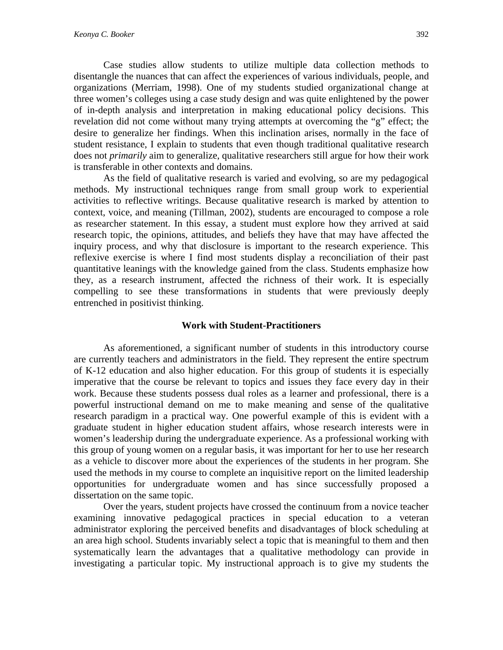Case studies allow students to utilize multiple data collection methods to disentangle the nuances that can affect the experiences of various individuals, people, and organizations (Merriam, 1998). One of my students studied organizational change at three women's colleges using a case study design and was quite enlightened by the power of in-depth analysis and interpretation in making educational policy decisions. This revelation did not come without many trying attempts at overcoming the "g" effect; the desire to generalize her findings. When this inclination arises, normally in the face of student resistance, I explain to students that even though traditional qualitative research does not *primarily* aim to generalize, qualitative researchers still argue for how their work is transferable in other contexts and domains.

As the field of qualitative research is varied and evolving, so are my pedagogical methods. My instructional techniques range from small group work to experiential activities to reflective writings. Because qualitative research is marked by attention to context, voice, and meaning (Tillman, 2002), students are encouraged to compose a role as researcher statement. In this essay, a student must explore how they arrived at said research topic, the opinions, attitudes, and beliefs they have that may have affected the inquiry process, and why that disclosure is important to the research experience. This reflexive exercise is where I find most students display a reconciliation of their past quantitative leanings with the knowledge gained from the class. Students emphasize how they, as a research instrument, affected the richness of their work. It is especially compelling to see these transformations in students that were previously deeply entrenched in positivist thinking.

#### **Work with Student-Practitioners**

As aforementioned, a significant number of students in this introductory course are currently teachers and administrators in the field. They represent the entire spectrum of K-12 education and also higher education. For this group of students it is especially imperative that the course be relevant to topics and issues they face every day in their work. Because these students possess dual roles as a learner and professional, there is a powerful instructional demand on me to make meaning and sense of the qualitative research paradigm in a practical way. One powerful example of this is evident with a graduate student in higher education student affairs, whose research interests were in women's leadership during the undergraduate experience. As a professional working with this group of young women on a regular basis, it was important for her to use her research as a vehicle to discover more about the experiences of the students in her program. She used the methods in my course to complete an inquisitive report on the limited leadership opportunities for undergraduate women and has since successfully proposed a dissertation on the same topic.

Over the years, student projects have crossed the continuum from a novice teacher examining innovative pedagogical practices in special education to a veteran administrator exploring the perceived benefits and disadvantages of block scheduling at an area high school. Students invariably select a topic that is meaningful to them and then systematically learn the advantages that a qualitative methodology can provide in investigating a particular topic. My instructional approach is to give my students the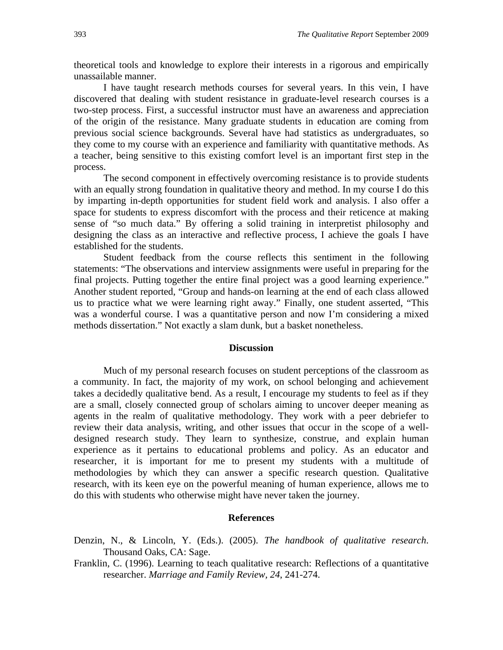theoretical tools and knowledge to explore their interests in a rigorous and empirically unassailable manner.

I have taught research methods courses for several years. In this vein, I have discovered that dealing with student resistance in graduate-level research courses is a two-step process. First, a successful instructor must have an awareness and appreciation of the origin of the resistance. Many graduate students in education are coming from previous social science backgrounds. Several have had statistics as undergraduates, so they come to my course with an experience and familiarity with quantitative methods. As a teacher, being sensitive to this existing comfort level is an important first step in the process.

The second component in effectively overcoming resistance is to provide students with an equally strong foundation in qualitative theory and method. In my course I do this by imparting in-depth opportunities for student field work and analysis. I also offer a space for students to express discomfort with the process and their reticence at making sense of "so much data." By offering a solid training in interpretist philosophy and designing the class as an interactive and reflective process, I achieve the goals I have established for the students.

Student feedback from the course reflects this sentiment in the following statements: "The observations and interview assignments were useful in preparing for the final projects. Putting together the entire final project was a good learning experience." Another student reported, "Group and hands-on learning at the end of each class allowed us to practice what we were learning right away." Finally, one student asserted, "This was a wonderful course. I was a quantitative person and now I'm considering a mixed methods dissertation." Not exactly a slam dunk, but a basket nonetheless.

### **Discussion**

Much of my personal research focuses on student perceptions of the classroom as a community. In fact, the majority of my work, on school belonging and achievement takes a decidedly qualitative bend. As a result, I encourage my students to feel as if they are a small, closely connected group of scholars aiming to uncover deeper meaning as agents in the realm of qualitative methodology. They work with a peer debriefer to review their data analysis, writing, and other issues that occur in the scope of a welldesigned research study. They learn to synthesize, construe, and explain human experience as it pertains to educational problems and policy. As an educator and researcher, it is important for me to present my students with a multitude of methodologies by which they can answer a specific research question. Qualitative research, with its keen eye on the powerful meaning of human experience, allows me to do this with students who otherwise might have never taken the journey.

#### **References**

- Denzin, N., & Lincoln, Y. (Eds.). (2005). *The handbook of qualitative research*. Thousand Oaks, CA: Sage.
- Franklin, C. (1996). Learning to teach qualitative research: Reflections of a quantitative researcher. *Marriage and Family Review, 24*, 241-274.